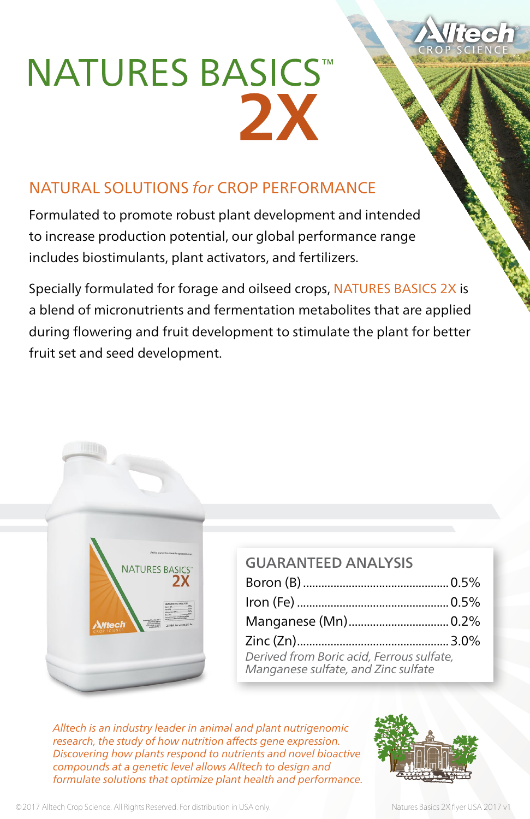## **NATURES BASICS™** 2X

## NATURAL SOLUTIONS *for* CROP PERFORMANCE

Formulated to promote robust plant development and intended to increase production potential, our global performance range includes biostimulants, plant activators, and fertilizers.

Specially formulated for forage and oilseed crops, NATURES BASICS 2X is a blend of micronutrients and fermentation metabolites that are applied during flowering and fruit development to stimulate the plant for better fruit set and seed development.



| <b>GUARANTEED ANALYSIS</b>                                                       |  |
|----------------------------------------------------------------------------------|--|
|                                                                                  |  |
|                                                                                  |  |
|                                                                                  |  |
|                                                                                  |  |
| Derived from Boric acid, Ferrous sulfate,<br>Manganese sulfate, and Zinc sulfate |  |

*Alltech is an industry leader in animal and plant nutrigenomic research, the study of how nutrition affects gene expression. Discovering how plants respond to nutrients and novel bioactive compounds at a genetic level allows Alltech to design and formulate solutions that optimize plant health and performance.*